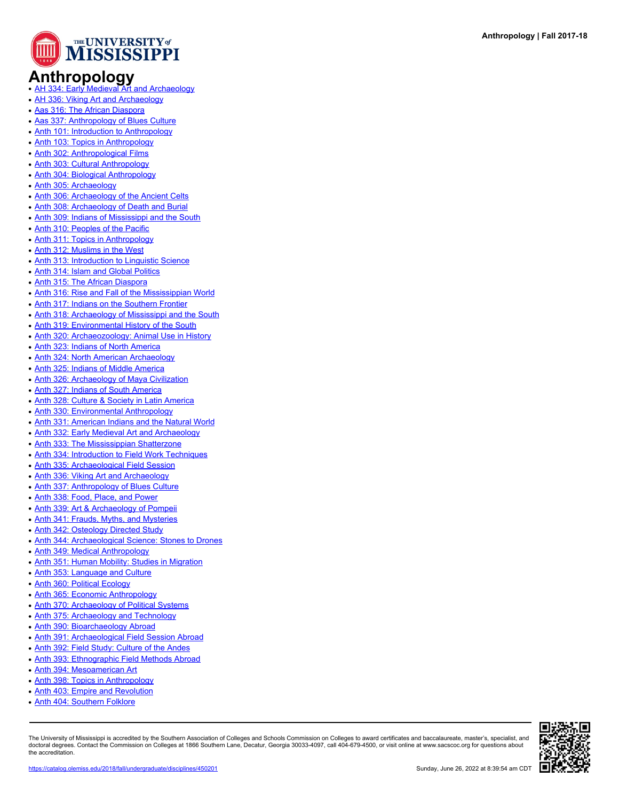

## Anthropology<br>• [AH 334: Early Medieval Art and Archaeology](https://catalog.olemiss.edu/2018/fall/ah-334)

- 
- [AH 336: Viking Art and Archaeology](https://catalog.olemiss.edu/2018/fall/ah-336)
- [Aas 316: The African Diaspora](https://catalog.olemiss.edu/2018/fall/aas-316)
- [Aas 337: Anthropology of Blues Culture](https://catalog.olemiss.edu/2018/fall/aas-337)
- [Anth 101: Introduction to Anthropology](https://catalog.olemiss.edu/2018/fall/anth-101)
- [Anth 103: Topics in Anthropology](https://catalog.olemiss.edu/2018/fall/anth-103)
- [Anth 302: Anthropological Films](https://catalog.olemiss.edu/2018/fall/anth-302)
- [Anth 303: Cultural Anthropology](https://catalog.olemiss.edu/2018/fall/anth-303)
- [Anth 304: Biological Anthropology](https://catalog.olemiss.edu/2018/fall/anth-304)
- [Anth 305: Archaeology](https://catalog.olemiss.edu/2018/fall/anth-305)
- [Anth 306: Archaeology of the Ancient Celts](https://catalog.olemiss.edu/2018/fall/anth-306)
- [Anth 308: Archaeology of Death and Burial](https://catalog.olemiss.edu/2018/fall/anth-308)
- [Anth 309: Indians of Mississippi and the South](https://catalog.olemiss.edu/2018/fall/anth-309)
- [Anth 310: Peoples of the Pacific](https://catalog.olemiss.edu/2018/fall/anth-310)
- [Anth 311: Topics in Anthropology](https://catalog.olemiss.edu/2018/fall/anth-311)
- [Anth 312: Muslims in the West](https://catalog.olemiss.edu/2018/fall/anth-312)
- [Anth 313: Introduction to Linguistic Science](https://catalog.olemiss.edu/2018/fall/anth-313)
- [Anth 314: Islam and Global Politics](https://catalog.olemiss.edu/2018/fall/anth-314)
- [Anth 315: The African Diaspora](https://catalog.olemiss.edu/2018/fall/anth-315)
- [Anth 316: Rise and Fall of the Mississippian World](https://catalog.olemiss.edu/2018/fall/anth-316)
- [Anth 317: Indians on the Southern Frontier](https://catalog.olemiss.edu/2018/fall/anth-317)
- [Anth 318: Archaeology of Mississippi and the South](https://catalog.olemiss.edu/2018/fall/anth-318)
- [Anth 319: Environmental History of the South](https://catalog.olemiss.edu/2018/fall/anth-319)
- [Anth 320: Archaeozoology: Animal Use in History](https://catalog.olemiss.edu/2018/fall/anth-320)
- [Anth 323: Indians of North America](https://catalog.olemiss.edu/2018/fall/anth-323)
- [Anth 324: North American Archaeology](https://catalog.olemiss.edu/2018/fall/anth-324)
- [Anth 325: Indians of Middle America](https://catalog.olemiss.edu/2018/fall/anth-325)
- [Anth 326: Archaeology of Maya Civilization](https://catalog.olemiss.edu/2018/fall/anth-326)
- [Anth 327: Indians of South America](https://catalog.olemiss.edu/2018/fall/anth-327)
- [Anth 328: Culture & Society in Latin America](https://catalog.olemiss.edu/2018/fall/anth-328)
- [Anth 330: Environmental Anthropology](https://catalog.olemiss.edu/2018/fall/anth-330)
- [Anth 331: American Indians and the Natural World](https://catalog.olemiss.edu/2018/fall/anth-331)
- [Anth 332: Early Medieval Art and Archaeology](https://catalog.olemiss.edu/2018/fall/anth-332)
- [Anth 333: The Mississippian Shatterzone](https://catalog.olemiss.edu/2018/fall/anth-333)
- [Anth 334: Introduction to Field Work Techniques](https://catalog.olemiss.edu/2018/fall/anth-334)
- [Anth 335: Archaeological Field Session](https://catalog.olemiss.edu/2018/fall/anth-335)
- [Anth 336: Viking Art and Archaeology](https://catalog.olemiss.edu/2018/fall/anth-336)
- [Anth 337: Anthropology of Blues Culture](https://catalog.olemiss.edu/2018/fall/anth-337)
- [Anth 338: Food, Place, and Power](https://catalog.olemiss.edu/2018/fall/anth-338)
- [Anth 339: Art & Archaeology of Pompeii](https://catalog.olemiss.edu/2018/fall/anth-339)
- [Anth 341: Frauds, Myths, and Mysteries](https://catalog.olemiss.edu/2018/fall/anth-341)
- [Anth 342: Osteology Directed Study](https://catalog.olemiss.edu/2018/fall/anth-342)
- [Anth 344: Archaeological Science: Stones to Drones](https://catalog.olemiss.edu/2018/fall/anth-344)
- [Anth 349: Medical Anthropology](https://catalog.olemiss.edu/2018/fall/anth-349)
- [Anth 351: Human Mobility: Studies in Migration](https://catalog.olemiss.edu/2018/fall/anth-351)
- [Anth 353: Language and Culture](https://catalog.olemiss.edu/2018/fall/anth-353)
- [Anth 360: Political Ecology](https://catalog.olemiss.edu/2018/fall/anth-360)
- [Anth 365: Economic Anthropology](https://catalog.olemiss.edu/2018/fall/anth-365)
- [Anth 370: Archaeology of Political Systems](https://catalog.olemiss.edu/2018/fall/anth-370)
- [Anth 375: Archaeology and Technology](https://catalog.olemiss.edu/2018/fall/anth-375)
- [Anth 390: Bioarchaeology Abroad](https://catalog.olemiss.edu/2018/fall/anth-390)
- [Anth 391: Archaeological Field Session Abroad](https://catalog.olemiss.edu/2018/fall/anth-391)
- [Anth 392: Field Study: Culture of the Andes](https://catalog.olemiss.edu/2018/fall/anth-392)
- [Anth 393: Ethnographic Field Methods Abroad](https://catalog.olemiss.edu/2018/fall/anth-393)
- [Anth 394: Mesoamerican Art](https://catalog.olemiss.edu/2018/fall/anth-394)
- [Anth 398: Topics in Anthropology](https://catalog.olemiss.edu/2018/fall/anth-398)
- [Anth 403: Empire and Revolution](https://catalog.olemiss.edu/2018/fall/anth-403)
- [Anth 404: Southern Folklore](https://catalog.olemiss.edu/2018/fall/anth-404)

The University of Mississippi is accredited by the Southern Association of Colleges and Schools Commission on Colleges to award certificates and baccalaureate, master's, specialist, and doctoral degrees. Contact the Commission on Colleges at 1866 Southern Lane, Decatur, Georgia 30033-4097, call 404-679-4500, or visit online at www.sacscoc.org for questions about the accreditation.